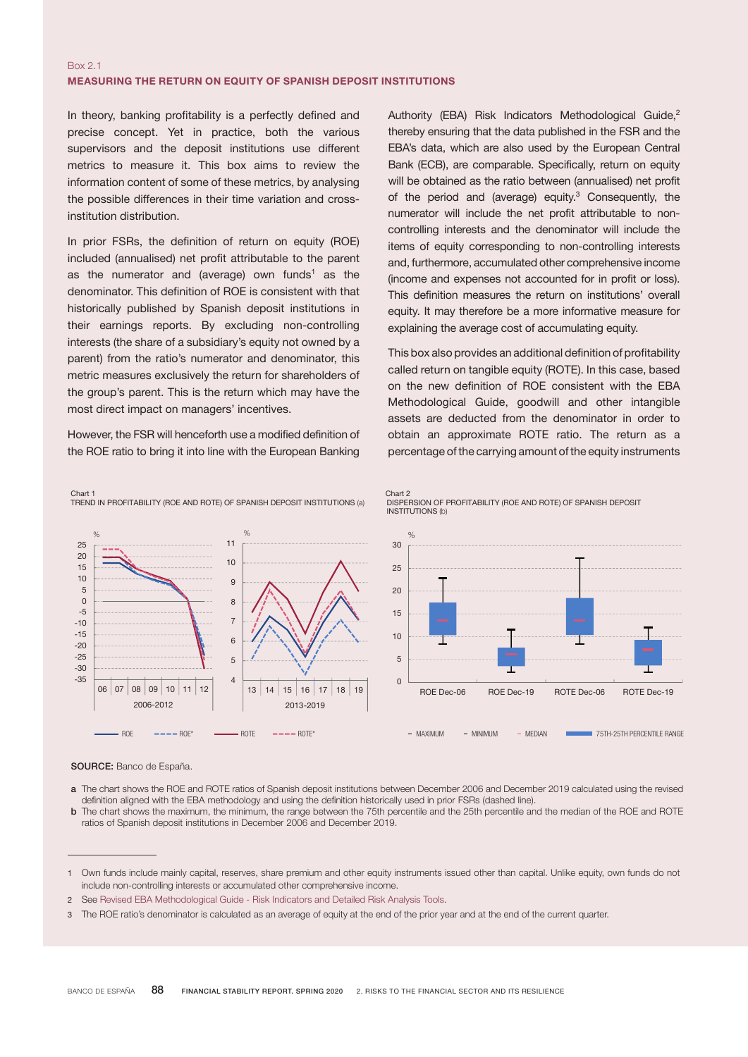## Box 2.1 MEASURING THE RETURN ON EQUITY OF SPANISH DEPOSIT INSTITUTIONS

In theory, banking profitability is a perfectly defined and precise concept. Yet in practice, both the various supervisors and the deposit institutions use different metrics to measure it. This box aims to review the information content of some of these metrics, by analysing the possible differences in their time variation and crossinstitution distribution.

In prior FSRs, the definition of return on equity (ROE) included (annualised) net profit attributable to the parent as the numerator and (average) own funds<sup>1</sup> as the denominator. This definition of ROE is consistent with that historically published by Spanish deposit institutions in their earnings reports. By excluding non-controlling interests (the share of a subsidiary's equity not owned by a parent) from the ratio's numerator and denominator, this metric measures exclusively the return for shareholders of the group's parent. This is the return which may have the most direct impact on managers' incentives.

However, the FSR will henceforth use a modified definition of the ROE ratio to bring it into line with the European Banking

TREND IN PROFITABILITY (ROE AND ROTE) OF SPANISH DEPOSIT INSTITUTIONS (a)

Authority (EBA) Risk Indicators Methodological Guide,<sup>2</sup> thereby ensuring that the data published in the FSR and the EBA's data, which are also used by the European Central Bank (ECB), are comparable. Specifically, return on equity will be obtained as the ratio between (annualised) net profit of the period and (average) equity.<sup>3</sup> Consequently, the numerator will include the net profit attributable to noncontrolling interests and the denominator will include the items of equity corresponding to non-controlling interests and, furthermore, accumulated other comprehensive income (income and expenses not accounted for in profit or loss). This definition measures the return on institutions' overall equity. It may therefore be a more informative measure for explaining the average cost of accumulating equity.

This box also provides an additional definition of profitability called return on tangible equity (ROTE). In this case, based on the new definition of ROE consistent with the EBA Methodological Guide, goodwill and other intangible assets are deducted from the denominator in order to obtain an approximate ROTE ratio. The return as a percentage of the carrying amount of the equity instruments

DISPERSION OF PROFITABILITY (ROE AND ROTE) OF SPANISH DEPOSIT



Chart 2

Chart 1

SOURCE: Banco de España.

- a The chart shows the ROE and ROTE ratios of Spanish deposit institutions between December 2006 and December 2019 calculated using the revised definition aligned with the EBA methodology and using the definition historically used in prior FSRs (dashed line).
- b The chart shows the maximum, the minimum, the range between the 75th percentile and the 25th percentile and the median of the ROE and ROTE ratios of Spanish deposit institutions in December 2006 and December 2019.

<sup>1</sup> Own funds include mainly capital, reserves, share premium and other equity instruments issued other than capital. Unlike equity, own funds do not include non-controlling interests or accumulated other comprehensive income.

<sup>2</sup> See Revised EBA [Methodological](https://eba.europa.eu/sites/default/documents/files/documents/10180/1380571/343e01d7-0c8f-4d7f-b59e-cc23a7b9dd9d/Revised EBA Methodological Guide - Risk Indicators and DRAT (20 March 2019).pdf) Guide - Risk Indicators and Detailed Risk Analysis Tools.

<sup>3</sup> The ROE ratio's denominator is calculated as an average of equity at the end of the prior year and at the end of the current quarter.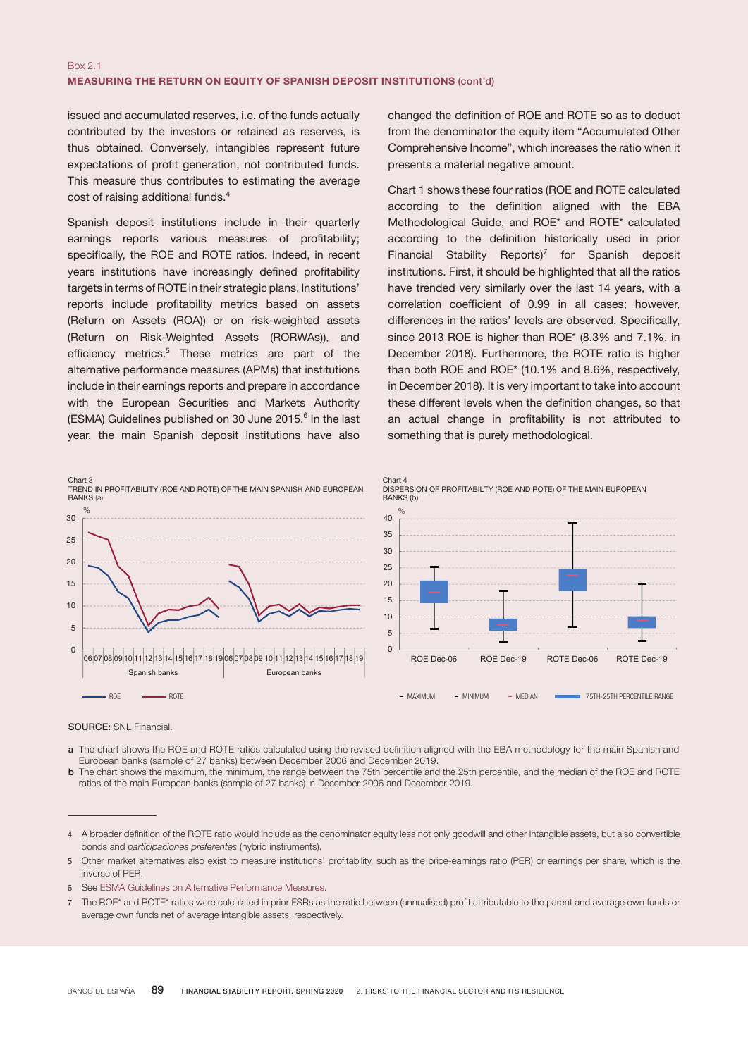## Box 2.1 MEASURING THE RETURN ON EQUITY OF SPANISH DEPOSIT INSTITUTIONS (cont'd)

issued and accumulated reserves, i.e. of the funds actually contributed by the investors or retained as reserves, is thus obtained. Conversely, intangibles represent future expectations of profit generation, not contributed funds. This measure thus contributes to estimating the average cost of raising additional funds.4

Spanish deposit institutions include in their quarterly earnings reports various measures of profitability; specifically, the ROE and ROTE ratios. Indeed, in recent years institutions have increasingly defined profitability targets in terms of ROTE in their strategic plans. Institutions' reports include profitability metrics based on assets (Return on Assets (ROA)) or on risk-weighted assets (Return on Risk-Weighted Assets (RORWAs)), and efficiency metrics.<sup>5</sup> These metrics are part of the alternative performance measures (APMs) that institutions include in their earnings reports and prepare in accordance with the European Securities and Markets Authority (ESMA) Guidelines published on 30 June 2015.<sup>6</sup> In the last year, the main Spanish deposit institutions have also

changed the definition of ROE and ROTE so as to deduct from the denominator the equity item "Accumulated Other Comprehensive Income", which increases the ratio when it presents a material negative amount.

Chart 1 shows these four ratios (ROE and ROTE calculated according to the definition aligned with the EBA Methodological Guide, and ROE\* and ROTE\* calculated according to the definition historically used in prior Financial Stability Reports)<sup>7</sup> for Spanish deposit institutions. First, it should be highlighted that all the ratios have trended very similarly over the last 14 years, with a correlation coefficient of 0.99 in all cases; however, differences in the ratios' levels are observed. Specifically, since 2013 ROE is higher than ROE\* (8.3% and 7.1%, in December 2018). Furthermore, the ROTE ratio is higher than both ROE and ROE\* (10.1% and 8.6%, respectively, in December 2018). It is very important to take into account these different levels when the definition changes, so that an actual change in profitability is not attributed to something that is purely methodological.





- a The chart shows the ROE and ROTE ratios calculated using the revised definition aligned with the EBA methodology for the main Spanish and European banks (sample of 27 banks) between December 2006 and December 2019.
- b The chart shows the maximum, the minimum, the range between the 75th percentile and the 25th percentile, and the median of the ROE and ROTE ratios of the main European banks (sample of 27 banks) in December 2006 and December 2019.

- 5 Other market alternatives also exist to measure institutions' profitability, such as the price-earnings ratio (PER) or earnings per share, which is the inverse of PER.
- 6 See ESMA Guidelines on Alternative [Performance](https://www.esma.europa.eu/sites/default/files/library/2015/11/2015-esma-1057_final_report_on_guidelines_on_alternative_performance_measures.pdf) Measures.
- The ROE\* and ROTE\* ratios were calculated in prior FSRs as the ratio between (annualised) profit attributable to the parent and average own funds or average own funds net of average intangible assets, respectively.

<sup>4</sup> A broader definition of the ROTE ratio would include as the denominator equity less not only goodwill and other intangible assets, but also convertible bonds and *participaciones preferentes* (hybrid instruments).